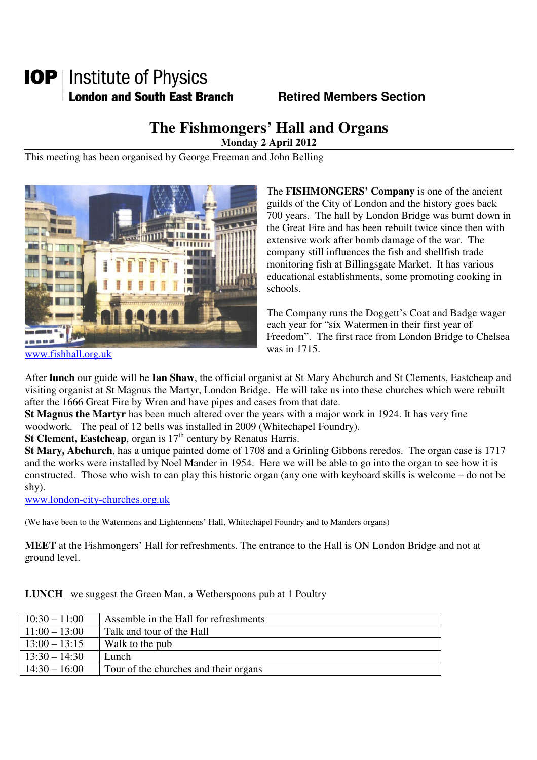# **IOP** | Institute of Physics **London and South East Branch Fig. 3. Retired Members Section**

## **The Fishmongers' Hall and Organs**

**Monday 2 April 2012** 

This meeting has been organised by George Freeman and John Belling



The **FISHMONGERS' Company** is one of the ancient guilds of the City of London and the history goes back 700 years. The hall by London Bridge was burnt down in the Great Fire and has been rebuilt twice since then with extensive work after bomb damage of the war. The company still influences the fish and shellfish trade monitoring fish at Billingsgate Market. It has various educational establishments, some promoting cooking in schools.

The Company runs the Doggett's Coat and Badge wager each year for "six Watermen in their first year of Freedom". The first race from London Bridge to Chelsea was in 1715.

www.fishhall.org.uk

After **lunch** our guide will be **Ian Shaw**, the official organist at St Mary Abchurch and St Clements, Eastcheap and visiting organist at St Magnus the Martyr, London Bridge. He will take us into these churches which were rebuilt after the 1666 Great Fire by Wren and have pipes and cases from that date.

**St Magnus the Martyr** has been much altered over the years with a major work in 1924. It has very fine woodwork. The peal of 12 bells was installed in 2009 (Whitechapel Foundry).

**St Clement, Eastcheap**, organ is  $17<sup>th</sup>$  century by Renatus Harris.

**St Mary, Abchurch**, has a unique painted dome of 1708 and a Grinling Gibbons reredos. The organ case is 1717 and the works were installed by Noel Mander in 1954. Here we will be able to go into the organ to see how it is constructed. Those who wish to can play this historic organ (any one with keyboard skills is welcome – do not be shy).

www.london-city-churches.org.uk

(We have been to the Watermens and Lightermens' Hall, Whitechapel Foundry and to Manders organs)

**MEET** at the Fishmongers' Hall for refreshments. The entrance to the Hall is ON London Bridge and not at ground level.

|  | <b>LUNCH</b> we suggest the Green Man, a Wetherspoons pub at 1 Poultry |  |  |  |  |
|--|------------------------------------------------------------------------|--|--|--|--|
|--|------------------------------------------------------------------------|--|--|--|--|

| $10:30 - 11:00$ | Assemble in the Hall for refreshments |
|-----------------|---------------------------------------|
| $11:00 - 13:00$ | Talk and tour of the Hall             |
| $13:00 - 13:15$ | Walk to the pub                       |
| $13:30 - 14:30$ | Lunch                                 |
| $14:30 - 16:00$ | Tour of the churches and their organs |